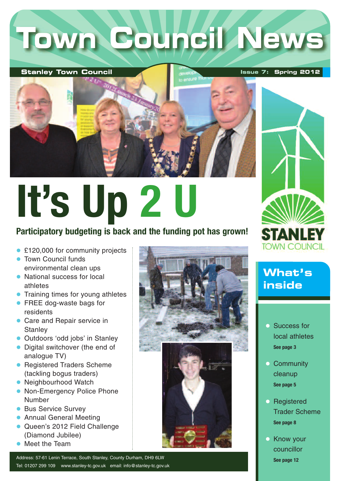# **Town Council News**

#### **Stanley Town Council**

**Issue 7: Spring 2012**



# **It's Up 2 U**

#### **Participatory budgeting is back and the funding pot has grown!**

- £120,000 for community projects
- **Town Council funds** environmental clean ups
- National success for local athletes
- **Training times for young athletes**
- **FREE dog-waste bags for** residents
- **Care and Repair service in Stanley**
- **Outdoors 'odd jobs' in Stanley**
- Digital switchover (the end of analogue TV)
- **Registered Traders Scheme** (tackling bogus traders)
- **Neighbourhood Watch**
- Non-Emergency Police Phone Number
- **Bus Service Survey**
- **Annual General Meeting**
- **Queen's 2012 Field Challenge** (Diamond Jubilee)
- Meet the Team

Address: 57-61 Lenin Terrace, South Stanley, County Durham, DH9 6LW Tel: 01207 299 109 www.stanley-tc.gov.uk email: info@stanley-tc.gov.uk





**What's inside**

- **Success for** local athletes **See page 3**
- **Community** cleanup **See page 5**
- **Registered** Trader Scheme **See page 8**
- **C** Know your councillor **See page 12**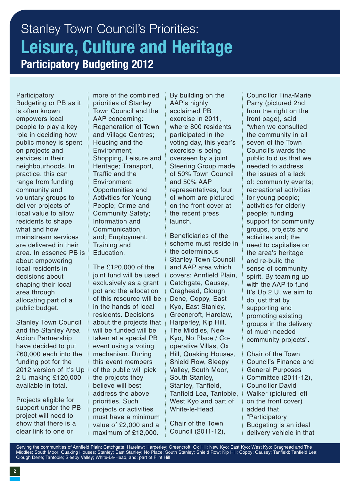### Stanley Town Council's Priorities: **Leisure, Culture and Heritage Participatory Budgeting 2012**

**Participatory** Budgeting or PB as it is often known empowers local people to play a key role in deciding how public money is spent on projects and services in their neighbourhoods. In practice, this can range from funding community and voluntary groups to deliver projects of local value to allow residents to shape what and how mainstream services are delivered in their area. In essence PB is about empowering local residents in decisions about shaping their local area through allocating part of a public budget.

Stanley Town Council and the Stanley Area Action Partnership have decided to put £60,000 each into the funding pot for the 2012 version of It's Up 2 U making £120,000 available in total.

Projects eligible for support under the PB project will need to show that there is a clear link to one or

more of the combined priorities of Stanley Town Council and the AAP concerning: Regeneration of Town and Village Centres; Housing and the Environment; Shopping, Leisure and Heritage; Transport, Traffic and the Environment; Opportunities and Activities for Young People; Crime and Community Safety; Information and Communication, and; Employment, Training and Education.

The £120,000 of the joint fund will be used exclusively as a grant pot and the allocation of this resource will be in the hands of local residents. Decisions about the projects that will be funded will be taken at a special PB event using a voting mechanism. During this event members of the public will pick the projects they believe will best address the above priorities. Such projects or activities must have a minimum value of £2,000 and a maximum of £12,000.

By building on the AAP's highly acclaimed PB exercise in 2011, where 800 residents participated in the voting day, this year's exercise is being overseen by a joint Steering Group made of 50% Town Council and 50% AAP representatives, four of whom are pictured on the front cover at the recent press launch.

Beneficiaries of the scheme must reside in the coterminous Stanley Town Council and AAP area which covers: Annfield Plain, Catchgate, Causey, Craghead, Clough Dene, Coppy, East Kyo, East Stanley, Greencroft, Harelaw, Harperley, Kip Hill, The Middles, New Kyo, No Place / Cooperative Villas, Ox Hill, Quaking Houses, Shield Row, Sleepy Valley, South Moor, South Stanley, Stanley, Tanfield, Tanfield Lea, Tantobie, West Kyo and part of White-le-Head.

Chair of the Town Council (2011-12),

Councillor Tina-Marie Parry (pictured 2nd from the right on the front page), said "when we consulted the community in all seven of the Town Council's wards the public told us that we needed to address the issues of a lack of: community events; recreational activities for young people; activities for elderly people; funding support for community groups, projects and activities and; the need to capitalise on the area's heritage and re-build the sense of community spirit. By teaming up with the AAP to fund It's Up 2 U, we aim to do just that by supporting and promoting existing groups in the delivery of much needed community projects".

Chair of the Town Council's Finance and General Purposes Committee (2011-12), Councillor David Walker (pictured left on the front cover) added that "Participatory Budgeting is an ideal delivery vehicle in that

Serving the communities of Annfield Plain; Catchgate; Harelaw; Harperley; Greencroft; Ox Hill; New Kyo; East Kyo; West Kyo; Craghead and The Middles; South Moor; Quaking Houses; Stanley; East Stanley; No Place; South Stanley; Shield Row; Kip Hill; Coppy; Causey; Tanfield; Tanfield Lea; Clough Dene; Tantobie; Sleepy Valley; White-Le-Head, and; part of Flint Hill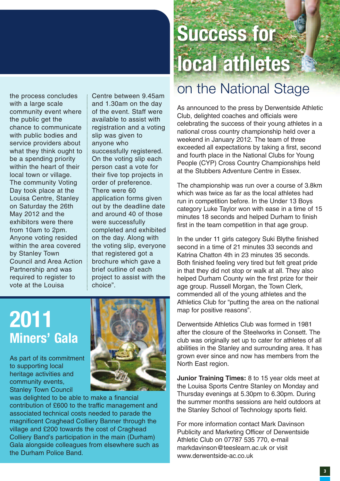the process concludes with a large scale community event where the public get the chance to communicate with public bodies and service providers about what they think ought to be a spending priority within the heart of their local town or village. The community Voting Day took place at the Louisa Centre, Stanley on Saturday the 26th May 2012 and the exhibitors were there from 10am to 2pm. Anyone voting resided within the area covered by Stanley Town Council and Area Action Partnership and was required to register to vote at the Louisa

Centre between 9.45am and 1.30am on the day of the event. Staff were available to assist with registration and a voting slip was given to anyone who successfully registered. On the voting slip each person cast a vote for their five top projects in order of preference. There were 60 application forms given out by the deadline date and around 40 of those were successfully completed and exhibited on the day. Along with the voting slip, everyone that registered got a brochure which gave a brief outline of each project to assist with the choice".

### **2011 Miners' Gala**

As part of its commitment to supporting local heritage activities and community events, Stanley Town Council



was delighted to be able to make a financial contribution of £600 to the traffic management and associated technical costs needed to parade the magnificent Craghead Colliery Banner through the village and £200 towards the cost of Craghead Colliery Band's participation in the main (Durham) Gala alongside colleagues from elsewhere such as the Durham Police Band.

## **Success for local athletes**

### on the National Stage

As announced to the press by Derwentside Athletic Club, delighted coaches and officials were celebrating the success of their young athletes in a national cross country championship held over a weekend in January 2012. The team of three exceeded all expectations by taking a first, second and fourth place in the National Clubs for Young People (CYP) Cross Country Championships held at the Stubbers Adventure Centre in Essex.

The championship was run over a course of 3.8km which was twice as far as the local athletes had run in competition before. In the Under 13 Boys category Luke Taylor won with ease in a time of 15 minutes 18 seconds and helped Durham to finish first in the team competition in that age group.

In the under 11 girls category Suki Blythe finished second in a time of 21 minutes 33 seconds and Katrina Chatton 4th in 23 minutes 35 seconds. Both finished feeling very tired but felt great pride in that they did not stop or walk at all. They also helped Durham County win the first prize for their age group. Russell Morgan, the Town Clerk, commended all of the young athletes and the Athletics Club for "putting the area on the national map for positive reasons".

Derwentside Athletics Club was formed in 1981 after the closure of the Steelworks in Consett. The club was originally set up to cater for athletes of all abilities in the Stanley and surrounding area. It has grown ever since and now has members from the North East region.

**Junior Training Times:** 8 to 15 year olds meet at the Louisa Sports Centre Stanley on Monday and Thursday evenings at 5.30pm to 6.30pm. During the summer months sessions are held outdoors at the Stanley School of Technology sports field.

For more information contact Mark Davinson Publicity and Marketing Officer of Derwentside Athletic Club on 07787 535 770, e-mail markdavinson@teeslearn.ac.uk or visit www.derwentside-ac.co.uk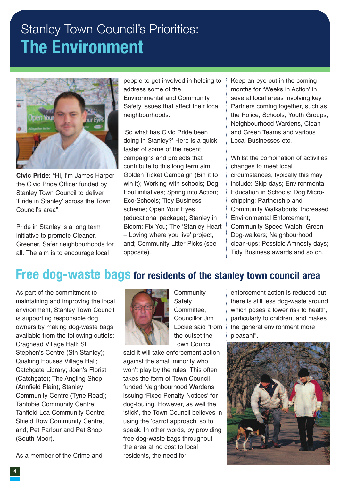### Stanley Town Council's Priorities: **The Environment**



**Civic Pride:** "Hi, I'm James Harper the Civic Pride Officer funded by Stanley Town Council to deliver 'Pride in Stanley' across the Town Council's area".

Pride in Stanley is a long term initiative to promote Cleaner, Greener, Safer neighbourhoods for all. The aim is to encourage local

people to get involved in helping to address some of the Environmental and Community Safety issues that affect their local neighbourhoods.

'So what has Civic Pride been doing in Stanley?' Here is a quick taster of some of the recent campaigns and projects that contribute to this long term aim: Golden Ticket Campaign (Bin it to win it); Working with schools; Dog Foul initiatives; Spring into Action; Eco-Schools; Tidy Business scheme; Open Your Eyes (educational package); Stanley in Bloom; Fix You; The 'Stanley Heart – Loving where you live' project, and; Community Litter Picks (see opposite).

Keep an eye out in the coming months for 'Weeks in Action' in several local areas involving key Partners coming together, such as the Police, Schools, Youth Groups, Neighbourhood Wardens, Clean and Green Teams and various Local Businesses etc.

Whilst the combination of activities changes to meet local circumstances, typically this may include: Skip days; Environmental Education in Schools; Dog Microchipping; Partnership and Community Walkabouts; Increased Environmental Enforcement; Community Speed Watch; Green Dog-walkers; Neighbourhood clean-ups; Possible Amnesty days; Tidy Business awards and so on.

#### **Free dog-waste bags for residents of the stanley town council area**

As part of the commitment to maintaining and improving the local environment, Stanley Town Council is supporting responsible dog owners by making dog-waste bags available from the following outlets: Craghead Village Hall; St. Stephen's Centre (Sth Stanley); Quaking Houses Village Hall; Catchgate Library; Joan's Florist (Catchgate); The Angling Shop (Annfield Plain); Stanley Community Centre (Tyne Road); Tantobie Community Centre; Tanfield Lea Community Centre; Shield Row Community Centre, and; Pet Parlour and Pet Shop (South Moor).

As a member of the Crime and



**Community** Safety Committee, Councillor Jim Lockie said "from the outset the Town Council

said it will take enforcement action against the small minority who won't play by the rules. This often takes the form of Town Council funded Neighbourhood Wardens issuing 'Fixed Penalty Notices' for dog-fouling. However, as well the 'stick', the Town Council believes in using the 'carrot approach' so to speak. In other words, by providing free dog-waste bags throughout the area at no cost to local residents, the need for

enforcement action is reduced but there is still less dog-waste around which poses a lower risk to health, particularly to children, and makes the general environment more pleasant".

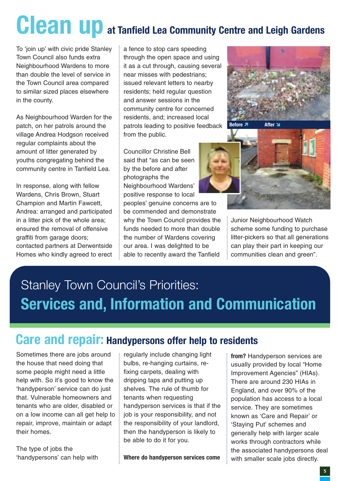## **Clean up at Tanfield Lea Community Centre and Leigh Gardens**

To 'join up' with civic pride Stanley Town Council also funds extra Neighbourhood Wardens to more than double the level of service in the Town Council area compared to similar sized places elsewhere in the county.

As Neighbourhood Warden for the patch, on her patrols around the village Andrea Hodgson received regular complaints about the amount of litter generated by youths congregating behind the community centre in Tanfield Lea.

In response, along with fellow Wardens, Chris Brown, Stuart Champion and Martin Fawcett, Andrea: arranged and participated in a litter pick of the whole area; ensured the removal of offensive graffiti from garage doors; contacted partners at Derwentside Homes who kindly agreed to erect a fence to stop cars speeding through the open space and using it as a cut through, causing several near misses with pedestrians; issued relevant letters to nearby residents; held regular question and answer sessions in the community centre for concerned residents, and; increased local patrols leading to positive feedback from the public.

Councillor Christine Bell said that "as can be seen by the before and after photographs the Neighbourhood Wardens' positive response to local peoples' genuine concerns are to be commended and demonstrate why the Town Council provides the funds needed to more than double the number of Wardens covering

our area. I was delighted to be able to recently award the Tanfield





Junior Neighbourhood Watch scheme some funding to purchase litter-pickers so that all generations can play their part in keeping our communities clean and green".

### Stanley Town Council's Priorities: **Services and, Information and Communication**

#### **Care and repair: Handypersons offer help to residents**

Sometimes there are jobs around the house that need doing that some people might need a little help with. So it's good to know the 'handyperson' service can do just that. Vulnerable homeowners and tenants who are older, disabled or on a low income can all get help to repair, improve, maintain or adapt their homes.

The type of jobs the 'handypersons' can help with regularly include changing light bulbs, re-hanging curtains, refixing carpets, dealing with dripping taps and putting up shelves. The rule of thumb for tenants when requesting handyperson services is that if the job is your responsibility, and not the responsibility of your landlord, then the handyperson is likely to be able to do it for you.

**Where do handyperson services come**

**from?** Handyperson services are usually provided by local "Home Improvement Agencies" (HIAs). There are around 230 HIAs in England, and over 90% of the population has access to a local service. They are sometimes known as 'Care and Repair' or 'Staying Put' schemes and generally help with larger scale works through contractors while the associated handypersons deal with smaller scale jobs directly.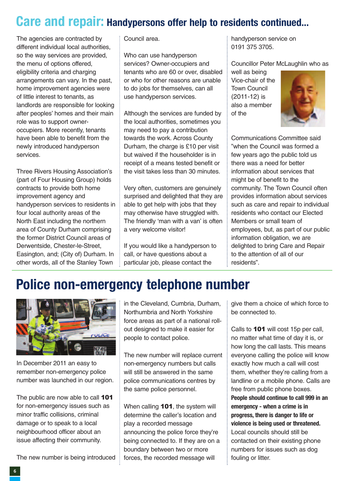### **Care and repair: Handypersons offer help to residents continued...**

The agencies are contracted by different individual local authorities, so the way services are provided, the menu of options offered, eligibility criteria and charging arrangements can vary. In the past, home improvement agencies were of little interest to tenants, as landlords are responsible for looking after peoples' homes and their main role was to support owneroccupiers. More recently, tenants have been able to benefit from the newly introduced handyperson services.

Three Rivers Housing Association's (part of Four Housing Group) holds contracts to provide both home improvement agency and handyperson services to residents in four local authority areas of the North East including the northern area of County Durham comprising the former District Council areas of Derwentside, Chester-le-Street, Easington, and; (City of) Durham. In other words, all of the Stanley Town

Council area.

Who can use handyperson services? Owner-occupiers and tenants who are 60 or over, disabled or who for other reasons are unable to do jobs for themselves, can all use handyperson services.

Although the services are funded by the local authorities, sometimes you may need to pay a contribution towards the work. Across County Durham, the charge is £10 per visit but waived if the householder is in receipt of a means tested benefit or the visit takes less than 30 minutes.

Very often, customers are genuinely surprised and delighted that they are able to get help with jobs that they may otherwise have struggled with. The friendly 'man with a van' is often a very welcome visitor!

If you would like a handyperson to call, or have questions about a particular job, please contact the

handyperson service on 0191 375 3705.

Councillor Peter McLaughlin who as

well as being Vice-chair of the Town Council (2011-12) is also a member of the



Communications Committee said "when the Council was formed a few years ago the public told us there was a need for better information about services that might be of benefit to the community. The Town Council often provides information about services such as care and repair to individual residents who contact our Elected Members or small team of employees, but, as part of our public information obligation, we are delighted to bring Care and Repair to the attention of all of our residents".

### **Police non-emergency telephone number**



In December 2011 an easy to remember non-emergency police number was launched in our region.

The public are now able to call **101** for non-emergency issues such as minor traffic collisions, criminal damage or to speak to a local neighbourhood officer about an issue affecting their community.

The new number is being introduced

in the Cleveland, Cumbria, Durham, Northumbria and North Yorkshire force areas as part of a national rollout designed to make it easier for people to contact police.

The new number will replace current non-emergency numbers but calls will still be answered in the same police communications centres by the same police personnel.

When calling **101**, the system will determine the caller's location and play a recorded message announcing the police force they're being connected to. If they are on a boundary between two or more forces, the recorded message will

give them a choice of which force to be connected to.

Calls to 101 will cost 15p per call, no matter what time of day it is, or how long the call lasts. This means everyone calling the police will know exactly how much a call will cost them, whether they're calling from a landline or a mobile phone. Calls are free from public phone boxes. **People should continue to call 999 in an emergency - when a crime is in progress, there is danger to life or violence is being used or threatened.** Local councils should still be contacted on their existing phone numbers for issues such as dog fouling or litter.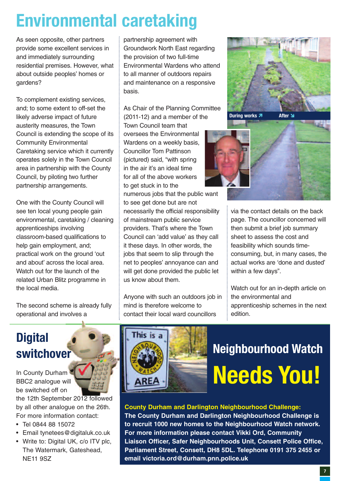### **Environmental caretaking**

As seen opposite, other partners provide some excellent services in and immediately surrounding residential premises. However, what about outside peoples' homes or gardens?

To complement existing services, and; to some extent to off-set the likely adverse impact of future austerity measures, the Town Council is extending the scope of its Community Environmental Caretaking service which it currently operates solely in the Town Council area in partnership with the County Council, by piloting two further partnership arrangements.

One with the County Council will see ten local young people gain environmental, caretaking / cleaning apprenticeships involving classroom-based qualifications to help gain employment, and; practical work on the ground 'out and about' across the local area. Watch out for the launch of the related Urban Blitz programme in the local media.

The second scheme is already fully operational and involves a

partnership agreement with Groundwork North East regarding the provision of two full-time Environmental Wardens who attend to all manner of outdoors repairs and maintenance on a responsive basis.

As Chair of the Planning Committee (2011-12) and a member of the Town Council team that oversees the Environmental Wardens on a weekly basis, Councillor Tom Pattinson (pictured) said, "with spring in the air it's an ideal time for all of the above workers to get stuck in to the numerous jobs that the public want

to see get done but are not necessarily the official responsibility of mainstream public service providers. That's where the Town Council can 'add value' as they call it these days. In other words, the jobs that seem to slip through the net to peoples' annoyance can and will get done provided the public let us know about them.

Anyone with such an outdoors job in mind is therefore welcome to contact their local ward councillors





via the contact details on the back page. The councillor concerned will then submit a brief job summary sheet to assess the cost and feasibility which sounds timeconsuming, but, in many cases, the actual works are 'done and dusted' within a few days".

Watch out for an in-depth article on the environmental and apprenticeship schemes in the next edition.

### **Digital switchover**

In County Durham BBC2 analogue will be switched off on

the 12th September 2012 followed by all other analogue on the 26th. For more information contact:

- Tel 0844 88 15072
- Email tynetees@digitaluk.co.uk
- Write to: Digital UK, c/o ITV plc, The Watermark, Gateshead, NE11 9SZ



### **Neighbourhood Watch Needs You!**

#### **County Durham and Darlington Neighbourhood Challenge:**

**The County Durham and Darlington Neighbourhood Challenge is to recruit 1000 new homes to the Neighbourhood Watch network. For more information please contact Vikki Ord, Community Liaison Officer, Safer Neighbourhoods Unit, Consett Police Office, Parliament Street, Consett, DH8 5DL. Telephone 0191 375 2455 or email victoria.ord@durham.pnn.police.uk**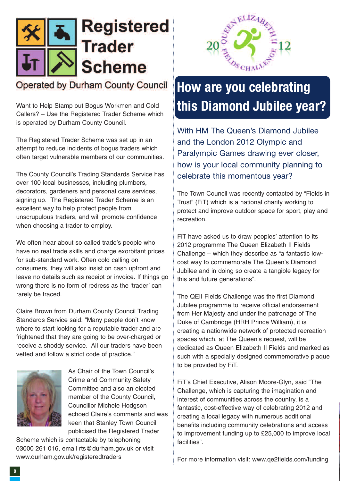

#### Operated by Durham County Council

Want to Help Stamp out Bogus Workmen and Cold Callers? – Use the Registered Trader Scheme which is operated by Durham County Council.

The Registered Trader Scheme was set up in an attempt to reduce incidents of bogus traders which often target vulnerable members of our communities.

The County Council's Trading Standards Service has over 100 local businesses, including plumbers, decorators, gardeners and personal care services, signing up. The Registered Trader Scheme is an excellent way to help protect people from unscrupulous traders, and will promote confidence when choosing a trader to employ.

We often hear about so called trade's people who have no real trade skills and charge exorbitant prices for sub-standard work. Often cold calling on consumers, they will also insist on cash upfront and leave no details such as receipt or invoice. If things go wrong there is no form of redress as the 'trader' can rarely be traced.

Claire Brown from Durham County Council Trading Standards Service said: "Many people don't know where to start looking for a reputable trader and are frightened that they are going to be over-charged or receive a shoddy service. All our traders have been vetted and follow a strict code of practice."



As Chair of the Town Council's Crime and Community Safety Committee and also an elected member of the County Council, Councillor Michele Hodgson echoed Claire's comments and was keen that Stanley Town Council publicised the Registered Trader

Scheme which is contactable by telephoning 03000 261 016, email rts@durham.gov.uk or visit www.durham.gov.uk/registeredtraders



### **How are you celebrating this Diamond Jubilee year?**

With HM The Queen's Diamond Jubilee and the London 2012 Olympic and Paralympic Games drawing ever closer, how is your local community planning to celebrate this momentous year?

The Town Council was recently contacted by "Fields in Trust" (FiT) which is a national charity working to protect and improve outdoor space for sport, play and recreation.

FiT have asked us to draw peoples' attention to its 2012 programme The Queen Elizabeth II Fields Challenge – which they describe as "a fantastic lowcost way to commemorate The Queen's Diamond Jubilee and in doing so create a tangible legacy for this and future generations".

The QEII Fields Challenge was the first Diamond Jubilee programme to receive official endorsement from Her Majesty and under the patronage of The Duke of Cambridge (HRH Prince William), it is creating a nationwide network of protected recreation spaces which, at The Queen's request, will be dedicated as Queen Elizabeth II Fields and marked as such with a specially designed commemorative plaque to be provided by FiT.

FiT's Chief Executive, Alison Moore-Glyn, said "The Challenge, which is capturing the imagination and interest of communities across the country, is a fantastic, cost-effective way of celebrating 2012 and creating a local legacy with numerous additional benefits including community celebrations and access to improvement funding up to £25,000 to improve local facilities".

For more information visit: www.qe2fields.com/funding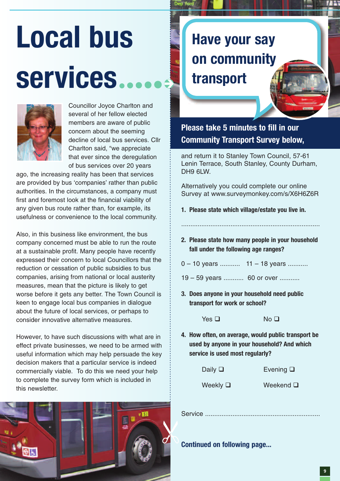# **Local bus services**



Councillor Joyce Charlton and several of her fellow elected members are aware of public concern about the seeming decline of local bus services. Cllr Charlton said, "we appreciate that ever since the deregulation of bus services over 20 years

ago, the increasing reality has been that services are provided by bus 'companies' rather than public authorities. In the circumstances, a company must first and foremost look at the financial viability of any given bus route rather than, for example, its usefulness or convenience to the local community.

Also, in this business like environment, the bus company concerned must be able to run the route at a sustainable profit. Many people have recently expressed their concern to local Councillors that the reduction or cessation of public subsidies to bus companies, arising from national or local austerity measures, mean that the picture is likely to get worse before it gets any better. The Town Council is keen to engage local bus companies in dialogue about the future of local services, or perhaps to consider innovative alternative measures.

However, to have such discussions with what are in effect private businesses, we need to be armed with useful information which may help persuade the key decision makers that a particular service is indeed commercially viable. To do this we need your help to complete the survey form which is included in this newsletter.



### **Have your say on community transport**

**Please take 5 minutes to fill in our Community Transport Survey below,**

and return it to Stanley Town Council, 57-61 Lenin Terrace, South Stanley, County Durham, DH9 6LW.

Alternatively you could complete our online Survey at www.surveymonkey.com/s/X6H6Z6R

- **1. Please state which village/estate you live in.**
- **2. Please state how many people in your household fall under the following age ranges?**

............................................................................

- 0 10 years ........... 11 18 years ...........
- 19 59 years ........... 60 or over ...........
- **3. Does anyone in your household need public transport for work or school?**

 $Yes \Box$  No  $\Box$ 

**4. How often, on average, would public transport be used by anyone in your household? And which service is used most regularly?**

| Daily $\Box$  | Evening $\square$ |
|---------------|-------------------|
| Weekly $\Box$ | Weekend $\square$ |

Service ...............................................................

**Continued on following page...**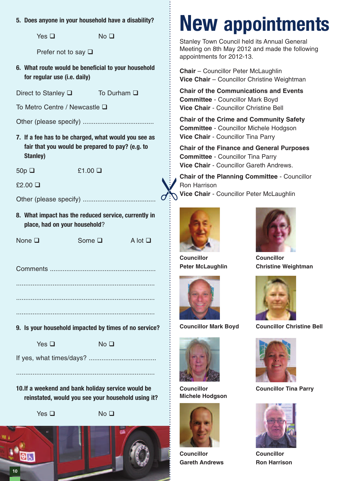**5. Does anyone in your household have a disability?**

 $Yes \Box$   $No \Box$ 

Prefer not to say  $\square$ 

**6. What route would be beneficial to your household for regular use (i.e. daily)**

Direct to Stanley  $\square$  To Durham  $\square$ 

To Metro Centre / Newcastle □

Other (please specify) .......................................

- **7. If a fee has to be charged, what would you see as fair that you would be prepared to pay? (e.g. to Stanley)**
- 

 $50p \Box$  £1.00  $\Box$ 

 $£2.00$   $\Box$ 

Other (please specify) ........................................

**8. What impact has the reduced service, currently in place, had on your household**?

None  $\Box$  Some  $\Box$  A lot  $\Box$ 

Comments ..........................................................

............................................................................ ............................................................................

- ............................................................................
- **9. Is your household impacted by times of no service?**

 $Yes \Box$   $No \Box$ 

If yes, what times/days? .....................................

**10.If a weekend and bank holiday service would be reinstated, would you see your household using it?**

............................................................................



**10**

 $Yes \Box$   $No \Box$ 



### **New appointments**

Stanley Town Council held its Annual General Meeting on 8th May 2012 and made the following appointments for 2012-13.

**Chair** – Councillor Peter McLaughlin **Vice Chair** – Councillor Christine Weightman

**Chair of the Communications and Events Committee** - Councillor Mark Boyd **Vice Chair** - Councillor Christine Bell

**Chair of the Crime and Community Safety Committee** - Councillor Michele Hodgson **Vice Chair** - Councillor Tina Parry

**Chair of the Finance and General Purposes Committee** - Councillor Tina Parry **Vice Chair** - Councillor Gareth Andrews.

**Chair of the Planning Committee** - Councillor Ron Harrison **Vice Chair** - Councillor Peter McLaughlin Vill



**Councillor Peter McLaughlin**





**Councillor Michele Hodgson**



**Councillor Gareth Andrews**



**Councillor Christine Weightman**



**Councillor Mark Boyd Councillor Christine Bell**



**Councillor Tina Parry**



**Councillor Ron Harrison**